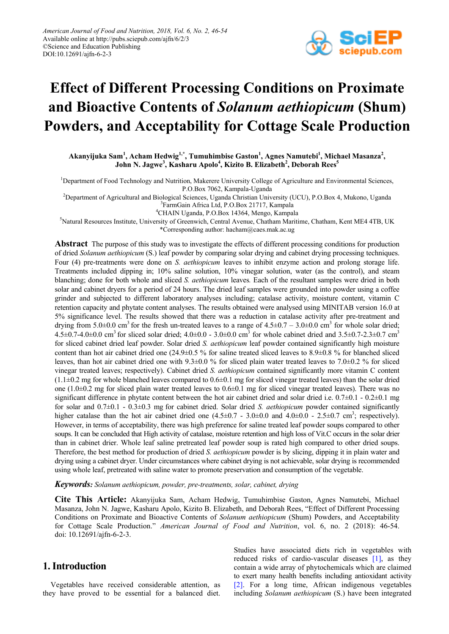

# **Effect of Different Processing Conditions on Proximate and Bioactive Contents of** *Solanum aethiopicum* **(Shum) Powders, and Acceptability for Cottage Scale Production**

**Akanyijuka Sam1 , Acham Hedwig1,\* , Tumuhimbise Gaston<sup>1</sup> , Agnes Namutebi1 , Michael Masanza<sup>2</sup> , John N. Jagwe3 , Kasharu Apolo<sup>4</sup> , Kizito B. Elizabeth<sup>2</sup> , Deborah Rees5**

<sup>1</sup>Department of Food Technology and Nutrition, Makerere University College of Agriculture and Environmental Sciences, P.O.Box 7062, Kampala-Uganda

<sup>2</sup>Department of Agricultural and Biological Sciences, Uganda Christian University (UCU), P.O.Box 4, Mukono, Uganda  $\frac{3 \text{FermGain}}{2 \text{HermGain}}$ 

<sup>3</sup>FarmGain Africa Ltd, P.O.Box 21717, Kampala

CHAIN Uganda, P.O.Box 14364, Mengo, Kampala

5 Natural Resources Institute, University of Greenwich, Central Avenue, Chatham Maritime, Chatham, Kent ME4 4TB, UK

\*Corresponding author: hacham@caes.mak.ac.ug

**Abstract** The purpose of this study was to investigate the effects of different processing conditions for production of dried *Solanum aethiopicum* (S.) leaf powder by comparing solar drying and cabinet drying processing techniques. Four (4) pre-treatments were done on *S. aethiopicum* leaves to inhibit enzyme action and prolong storage life. Treatments included dipping in; 10% saline solution, 10% vinegar solution, water (as the control), and steam blanching; done for both whole and sliced *S. aethiopicum* leaves*.* Each of the resultant samples were dried in both solar and cabinet dryers for a period of 24 hours. The dried leaf samples were grounded into powder using a coffee grinder and subjected to different laboratory analyses including; catalase activity, moisture content, vitamin C retention capacity and phytate content analyses. The results obtained were analysed using MINITAB version 16.0 at 5% significance level. The results showed that there was a reduction in catalase activity after pre-treatment and drying from 5.0 $\pm$ 0.0 cm<sup>3</sup> for the fresh un-treated leaves to a range of 4.5 $\pm$ 0.7 – 3.0 $\pm$ 0.0 cm<sup>3</sup> for whole solar dried;  $4.5\pm0.7-4.0\pm0.0$  cm<sup>3</sup> for sliced solar dried;  $4.0\pm0.0 - 3.0\pm0.0$  cm<sup>3</sup> for whole cabinet dried and  $3.5\pm0.7-2.3\pm0.7$  cm<sup>3</sup> for sliced cabinet dried leaf powder. Solar dried *S. aethiopicum* leaf powder contained significantly high moisture content than hot air cabinet dried one (24.9±0.5 % for saline treated sliced leaves to 8.9±0.8 % for blanched sliced leaves, than hot air cabinet dried one with 9.3±0.0 % for sliced plain water treated leaves to 7.0±0.2 % for sliced vinegar treated leaves; respectively). Cabinet dried *S. aethiopicum* contained significantly more vitamin C content  $(1.1\pm0.2 \text{ mg}$  for whole blanched leaves compared to  $0.6\pm0.1 \text{ mg}$  for sliced vinegar treated leaves) than the solar dried one  $(1.0\pm0.2 \text{ mg}$  for sliced plain water treated leaves to  $0.6\pm0.1 \text{ mg}$  for sliced vinegar treated leaves). There was no significant difference in phytate content between the hot air cabinet dried and solar dried i.e.  $0.7\pm0.1$  -  $0.2\pm0.1$  mg for solar and 0.7±0.1 - 0.3±0.3 mg for cabinet dried. Solar dried *S. aethiopicum* powder contained significantly higher catalase than the hot air cabinet dried one  $(4.5\pm0.7 - 3.0\pm0.0$  and  $4.0\pm0.0 - 2.5\pm0.7$  cm<sup>3</sup>; respectively). However, in terms of acceptability, there was high preference for saline treated leaf powder soups compared to other soups. It can be concluded that High activity of catalase, moisture retention and high loss of Vit.C occurs in the solar drier than in cabinet drier. Whole leaf saline pretreated leaf powder soup is rated high compared to other dried soups. Therefore, the best method for production of dried *S. aethiopicum* powder is by slicing, dipping it in plain water and drying using a cabinet dryer. Under circumstances where cabinet drying is not achievable, solar drying is recommended using whole leaf, pretreated with saline water to promote preservation and consumption of the vegetable.

*Keywords: Solanum aethiopicum, powder, pre-treatments, solar, cabinet, drying*

**Cite This Article:** Akanyijuka Sam, Acham Hedwig, Tumuhimbise Gaston, Agnes Namutebi, Michael Masanza, John N. Jagwe, Kasharu Apolo, Kizito B. Elizabeth, and Deborah Rees, "Effect of Different Processing Conditions on Proximate and Bioactive Contents of *Solanum aethiopicum* (Shum) Powders, and Acceptability for Cottage Scale Production." *American Journal of Food and Nutrition*, vol. 6, no. 2 (2018): 46-54. doi: 10.12691/ajfn-6-2-3.

# **1. Introduction**

Vegetables have received considerable attention, as they have proved to be essential for a balanced diet. Studies have associated diets rich in vegetables with reduced risks of cardio-vascular diseases [\[1\],](#page-7-0) as they contain a wide array of phytochemicals which are claimed to exert many health benefits including antioxidant activity [\[2\].](#page-7-1) For a long time, African indigenous vegetables including *Solanum aethiopicum* (S.) have been integrated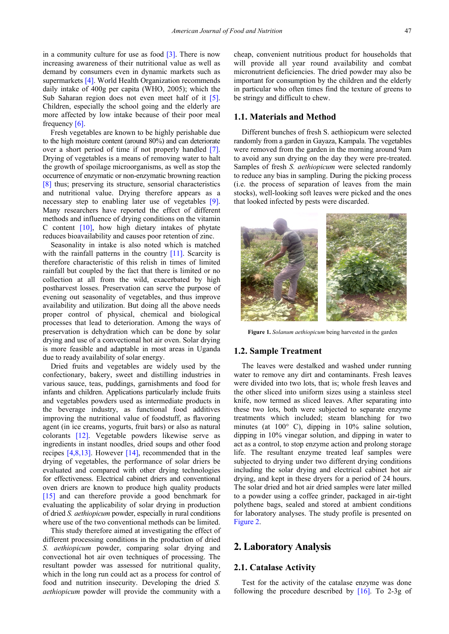in a community culture for use as food [\[3\].](#page-7-2) There is now increasing awareness of their nutritional value as well as demand by consumers even in dynamic markets such as supermarket[s \[4\].](#page-7-3) World Health Organization recommends daily intake of 400g per capita (WHO, 2005); which the Sub Saharan region does not even meet half of it [\[5\].](#page-7-4) Children, especially the school going and the elderly are more affected by low intake because of their poor meal frequency [\[6\].](#page-7-5)

Fresh vegetables are known to be highly perishable due to the high moisture content (around 80%) and can deteriorate over a short period of time if not properly handled [\[7\].](#page-7-6) Drying of vegetables is a means of removing water to halt the growth of spoilage microorganisms, as well as stop the occurrence of enzymatic or non-enzymatic browning reaction [\[8\]](#page-7-7) thus; preserving its structure, sensorial characteristics and nutritional value. Drying therefore appears as a necessary step to enabling later use of vegetables [\[9\].](#page-7-8) Many researchers have reported the effect of different methods and influence of drying conditions on the vitamin C content  $[10]$ , how high dietary intakes of phytate reduces bioavailability and causes poor retention of zinc.

Seasonality in intake is also noted which is matched with the rainfall patterns in the country [\[11\].](#page-7-10) Scarcity is therefore characteristic of this relish in times of limited rainfall but coupled by the fact that there is limited or no collection at all from the wild, exacerbated by high postharvest losses. Preservation can serve the purpose of evening out seasonality of vegetables, and thus improve availability and utilization. But doing all the above needs proper control of physical, chemical and biological processes that lead to deterioration. Among the ways of preservation is dehydration which can be done by solar drying and use of a convectional hot air oven. Solar drying is more feasible and adaptable in most areas in Uganda due to ready availability of solar energy.

Dried fruits and vegetables are widely used by the confectionary, bakery, sweet and distilling industries in various sauce, teas, puddings, garnishments and food for infants and children. Applications particularly include fruits and vegetables powders used as intermediate products in the beverage industry, as functional food additives improving the nutritional value of foodstuff, as flavoring agent (in ice creams, yogurts, fruit bars) or also as natural colorants [\[12\].](#page-7-11) Vegetable powders likewise serve as ingredients in instant noodles, dried soups and other food recipes [\[4,8,13\].](#page-7-3) However [\[14\],](#page-7-12) recommended that in the drying of vegetables, the performance of solar driers be evaluated and compared with other drying technologies for effectiveness. Electrical cabinet driers and conventional oven driers are known to produce high quality products [\[15\]](#page-7-13) and can therefore provide a good benchmark for evaluating the applicability of solar drying in production of dried *S. aethiopicum* powder, especially in rural conditions where use of the two conventional methods can be limited.

This study therefore aimed at investigating the effect of different processing conditions in the production of dried *S. aethiopicum* powder, comparing solar drying and convectional hot air oven techniques of processing. The resultant powder was assessed for nutritional quality, which in the long run could act as a process for control of food and nutrition insecurity. Developing the dried *S. aethiopicum* powder will provide the community with a

cheap, convenient nutritious product for households that will provide all year round availability and combat micronutrient deficiencies. The dried powder may also be important for consumption by the children and the elderly in particular who often times find the texture of greens to be stringy and difficult to chew.

#### **1.1. Materials and Method**

Different bunches of fresh S. aethiopicum were selected randomly from a garden in Gayaza, Kampala. The vegetables were removed from the garden in the morning around 9am to avoid any sun drying on the day they were pre-treated. Samples of fresh *S. aethiopicum* were selected randomly to reduce any bias in sampling. During the picking process (i.e. the process of separation of leaves from the main stocks), well-looking soft leaves were picked and the ones that looked infected by pests were discarded.



**Figure 1.** *Solanum aethiopicum* being harvested in the garden

#### **1.2. Sample Treatment**

The leaves were destalked and washed under running water to remove any dirt and contaminants. Fresh leaves were divided into two lots, that is; whole fresh leaves and the other sliced into uniform sizes using a stainless steel knife, now termed as sliced leaves. After separating into these two lots, both were subjected to separate enzyme treatments which included; steam blanching for two minutes (at 100° C), dipping in 10% saline solution, dipping in 10% vinegar solution, and dipping in water to act as a control, to stop enzyme action and prolong storage life. The resultant enzyme treated leaf samples were subjected to drying under two different drying conditions including the solar drying and electrical cabinet hot air drying, and kept in these dryers for a period of 24 hours. The solar dried and hot air dried samples were later milled to a powder using a coffee grinder, packaged in air-tight polythene bags, sealed and stored at ambient conditions for laboratory analyses. The study profile is presented on Figure 2.

## **2. Laboratory Analysis**

#### **2.1. Catalase Activity**

Test for the activity of the catalase enzyme was done following the procedure described by [\[16\].](#page-8-0) To 2-3g of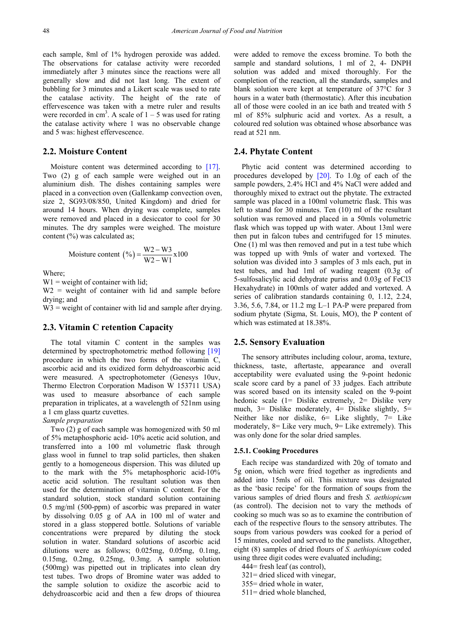each sample, 8ml of 1% hydrogen peroxide was added. The observations for catalase activity were recorded immediately after 3 minutes since the reactions were all generally slow and did not last long. The extent of bubbling for 3 minutes and a Likert scale was used to rate the catalase activity. The height of the rate of effervescence was taken with a metre ruler and results were recorded in cm<sup>3</sup>. A scale of  $1 - 5$  was used for rating the catalase activity where 1 was no observable change and 5 was: highest effervescence.

#### **2.2. Moisture Content**

Moisture content was determined according to [\[17\].](#page-8-1) Two (2) g of each sample were weighed out in an aluminium dish. The dishes containing samples were placed in a convection oven (Gallenkamp convection oven, size 2, SG93/08/850, United Kingdom) and dried for around 14 hours. When drying was complete, samples were removed and placed in a desiccator to cool for 30 minutes. The dry samples were weighed. The moisture content (%) was calculated as;

Moisture content 
$$
(\%) = \frac{W2 - W3}{W2 - W1} \times 100
$$

Where;

 $W1$  = weight of container with lid;

 $W2$  = weight of container with lid and sample before drying; and

 $W3$  = weight of container with lid and sample after drying.

#### **2.3. Vitamin C retention Capacity**

The total vitamin C content in the samples was determined by spectrophotometric method following [\[19\]](#page-8-2) procedure in which the two forms of the vitamin C, ascorbic acid and its oxidized form dehydroascorbic acid were measured. A spectrophotometer (Genesys 10uv, Thermo Electron Corporation Madison W 153711 USA) was used to measure absorbance of each sample preparation in triplicates, at a wavelength of 521nm using a 1 cm glass quartz cuvettes.

#### *Sample preparation*

Two (2) g of each sample was homogenized with 50 ml of 5% metaphosphoric acid- 10% acetic acid solution, and transferred into a 100 ml volumetric flask through glass wool in funnel to trap solid particles, then shaken gently to a homogeneous dispersion. This was diluted up to the mark with the 5% metaphosphoric acid-10% acetic acid solution. The resultant solution was then used for the determination of vitamin C content. For the standard solution, stock standard solution containing 0.5 mg/ml (500-ppm) of ascorbic was prepared in water by dissolving 0.05 g of AA in 100 ml of water and stored in a glass stoppered bottle. Solutions of variable concentrations were prepared by diluting the stock solution in water. Standard solutions of ascorbic acid dilutions were as follows; 0.025mg, 0.05mg, 0.1mg, 0.15mg, 0.2mg, 0.25mg, 0.3mg. A sample solution (500mg) was pipetted out in triplicates into clean dry test tubes. Two drops of Bromine water was added to the sample solution to oxidize the ascorbic acid to dehydroascorbic acid and then a few drops of thiourea

were added to remove the excess bromine. To both the sample and standard solutions, 1 ml of 2, 4- DNPH solution was added and mixed thoroughly. For the completion of the reaction, all the standards, samples and blank solution were kept at temperature of 37°C for 3 hours in a water bath (thermostatic). After this incubation all of those were cooled in an ice bath and treated with 5 ml of 85% sulphuric acid and vortex. As a result, a coloured red solution was obtained whose absorbance was read at 521 nm.

#### **2.4. Phytate Content**

Phytic acid content was determined according to procedures developed by [\[20\].](#page-8-3) To 1.0g of each of the sample powders, 2.4% HCl and 4% NaCl were added and thoroughly mixed to extract out the phytate. The extracted sample was placed in a 100ml volumetric flask. This was left to stand for 30 minutes. Ten (10) ml of the resultant solution was removed and placed in a 50mls volumetric flask which was topped up with water. About 13ml were then put in falcon tubes and centrifuged for 15 minutes. One (1) ml was then removed and put in a test tube which was topped up with 9mls of water and vortexed. The solution was divided into 3 samples of 3 mls each, put in test tubes, and had 1ml of wading reagent (0.3g of 5-sulfosalicylic acid dehydrate puriss and 0.03g of FeCl3 Hexahydrate) in 100mls of water added and vortexed. A series of calibration standards containing 0, 1.12, 2.24, 3.36, 5.6, 7.84, or 11.2 mg L–1 PA-P were prepared from sodium phytate (Sigma, St. Louis, MO), the P content of which was estimated at 18.38%.

#### **2.5. Sensory Evaluation**

The sensory attributes including colour, aroma, texture, thickness, taste, aftertaste, appearance and overall acceptability were evaluated using the 9-point hedonic scale score card by a panel of 33 judges. Each attribute was scored based on its intensity scaled on the 9-point hedonic scale  $(1=$  Dislike extremely,  $2=$  Dislike very much,  $3=$  Dislike moderately,  $4=$  Dislike slightly,  $5=$ Neither like nor dislike,  $6=$  Like slightly,  $7=$  Like moderately, 8= Like very much, 9= Like extremely). This was only done for the solar dried samples.

#### **2.5.1. Cooking Procedures**

Each recipe was standardized with 20g of tomato and 5g onion, which were fried together as ingredients and added into 15mls of oil. This mixture was designated as the 'basic recipe' for the formation of soups from the various samples of dried flours and fresh *S. aethiopicum* (as control). The decision not to vary the methods of cooking so much was so as to examine the contribution of each of the respective flours to the sensory attributes. The soups from various powders was cooked for a period of 15 minutes, cooled and served to the panelists. Altogether, eight (8) samples of dried flours of *S. aethiopicum* coded using three digit codes were evaluated including;

- 444= fresh leaf (as control),
- 321= dried sliced with vinegar,
- 355= dried whole in water,
- 511= dried whole blanched,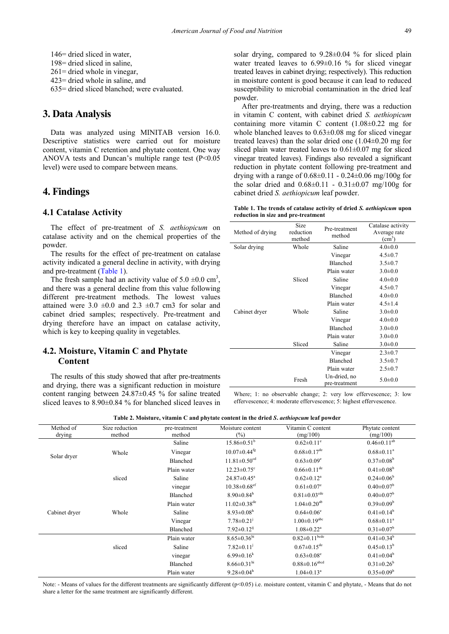146= dried sliced in water, 198= dried sliced in saline, 261= dried whole in vinegar, 423= dried whole in saline, and 635= dried sliced blanched; were evaluated.

## **3. Data Analysis**

Data was analyzed using MINITAB version 16.0. Descriptive statistics were carried out for moisture content, vitamin C retention and phytate content. One way ANOVA tests and Duncan's multiple range test  $(P<0.05$ level) were used to compare between means.

## **4. Findings**

#### **4.1 Catalase Activity**

The effect of pre-treatment of *S. aethiopicum* on catalase activity and on the chemical properties of the powder.

The results for the effect of pre-treatment on catalase activity indicated a general decline in activity, with drying and pre-treatment [\(Table 1\)](#page-3-0).

The fresh sample had an activity value of  $5.0 \pm 0.0 \text{ cm}^3$ , and there was a general decline from this value following different pre-treatment methods. The lowest values attained were  $3.0 \pm 0.0$  and  $2.3 \pm 0.7$  cm3 for solar and cabinet dried samples; respectively. Pre-treatment and drying therefore have an impact on catalase activity, which is key to keeping quality in vegetables.

## **4.2. Moisture, Vitamin C and Phytate Content**

The results of this study showed that after pre-treatments and drying, there was a significant reduction in moisture content ranging between 24.87±0.45 % for saline treated sliced leaves to 8.90±0.84 % for blanched sliced leaves in solar drying, compared to  $9.28 \pm 0.04$  % for sliced plain water treated leaves to 6.99±0.16 % for sliced vinegar treated leaves in cabinet drying; respectively). This reduction in moisture content is good because it can lead to reduced susceptibility to microbial contamination in the dried leaf powder.

After pre-treatments and drying, there was a reduction in vitamin C content, with cabinet dried *S. aethiopicum* containing more vitamin C content  $(1.08\pm0.22 \text{ mg}$  for whole blanched leaves to 0.63±0.08 mg for sliced vinegar treated leaves) than the solar dried one (1.04±0.20 mg for sliced plain water treated leaves to  $0.61 \pm 0.07$  mg for sliced vinegar treated leaves). Findings also revealed a significant reduction in phytate content following pre-treatment and drying with a range of  $0.68 \pm 0.11 - 0.24 \pm 0.06$  mg/100g for the solar dried and  $0.68\pm0.11 - 0.31\pm0.07$  mg/100g for cabinet dried *S. aethiopicum* leaf powder.

**Table 1. The trends of catalase activity of dried** *S. aethiopicum* **upon reduction in size and pre-treatment**

<span id="page-3-0"></span>

| Method of drying | Size<br>reduction<br>method | Pre-treatment<br>method       | Catalase activity<br>Average rate<br>(cm <sup>3</sup> ) |
|------------------|-----------------------------|-------------------------------|---------------------------------------------------------|
| Solar drying     | Whole                       | Saline                        | $4.0 \pm 0.0$                                           |
|                  |                             | Vinegar                       | $4.5 \pm 0.7$                                           |
|                  |                             | <b>Blanched</b>               | $3.5 \pm 0.7$                                           |
|                  |                             | Plain water                   | $3.0 \pm 0.0$                                           |
|                  | Sliced                      | Saline                        | $4.0 + 0.0$                                             |
|                  |                             | Vinegar                       | $4.5 \pm 0.7$                                           |
|                  |                             | Blanched                      | $4.0 \pm 0.0$                                           |
|                  |                             | Plain water                   | $4.5 \pm 1.4$                                           |
| Cabinet dryer    | Whole                       | Saline                        | $3.0 \pm 0.0$                                           |
|                  |                             | Vinegar                       | $4.0 \pm 0.0$                                           |
|                  |                             | Blanched                      | $3.0 \pm 0.0$                                           |
|                  |                             | Plain water                   | $3.0 \pm 0.0$                                           |
|                  | Sliced                      | Saline                        | $3.0 \pm 0.0$                                           |
|                  |                             | Vinegar                       | $2.3 \pm 0.7$                                           |
|                  |                             | Blanched                      | $3.5 \pm 0.7$                                           |
|                  |                             | Plain water                   | $2.5 \pm 0.7$                                           |
|                  | Fresh                       | Un-dried, no<br>pre-treatment | $5.0 \pm 0.0$                                           |

Where; 1: no observable change; 2: very low effervescence; 3: low effervescence; 4: moderate effervescence; 5: highest effervescence.

| Table 2. Moisture, vitamin C and phytate content in the dried S. <i>aethiopcum</i> leaf powder |  |  |
|------------------------------------------------------------------------------------------------|--|--|
|------------------------------------------------------------------------------------------------|--|--|

| Method of<br>drying | Size reduction<br>method | pre-treatment<br>method | Moisture content<br>$(\%)$     | Vitamin C content<br>(mg/100)   | Phytate content<br>(mg/100)  |
|---------------------|--------------------------|-------------------------|--------------------------------|---------------------------------|------------------------------|
|                     |                          | Saline                  | $15.86 \pm 0.51^b$             | $0.62 \pm 0.11$ <sup>e</sup>    | $0.46 \pm 0.11^{ab}$         |
|                     | Whole                    | Vinegar                 | $10.07 \pm 0.44$ <sup>fg</sup> | $0.68 \pm 0.17$ <sup>de</sup>   | $0.68 \pm 0.11$ <sup>a</sup> |
| Solar dryer         |                          | Blanched                | $11.81 \pm 0.50$ <sup>cd</sup> | $0.63 \pm 0.09$ <sup>e</sup>    | $0.37 \pm 0.08^b$            |
|                     |                          | Plain water             | $12.23 \pm 0.75$ °             | $0.66 \pm 0.11$ <sup>de</sup>   | $0.41 \pm 0.08^b$            |
|                     | sliced                   | Saline                  | $24.87 \pm 0.45^a$             | $0.62 \pm 0.12^a$               | $0.24 \pm 0.06^b$            |
|                     |                          | vinegar                 | $10.38 \pm 0.68$ <sup>ef</sup> | $0.61 \pm 0.07$ <sup>e</sup>    | $0.40 \pm 0.07^b$            |
|                     |                          | Blanched                | $8.90 \pm 0.84$ <sup>h</sup>   | $0.81 \pm 0.03$ <sup>cde</sup>  | $0.40 \pm 0.07^b$            |
|                     |                          | Plain water             | $11.02 \pm 0.38$ <sup>de</sup> | $1.04 \pm 0.20$ <sup>ab</sup>   | $0.39 \pm 0.09^b$            |
| Cabinet dryer       | Whole                    | Saline                  | $8.93 \pm 0.08$ <sup>h</sup>   | $0.64 \pm 0.06$ <sup>e</sup>    | $0.41 \pm 0.14^b$            |
|                     |                          | Vinegar                 | $7.78 \pm 0.21$ <sup>j</sup>   | $1.00 \pm 0.19$ <sup>abc</sup>  | $0.68 \pm 0.11$ <sup>a</sup> |
|                     |                          | Blanched                | $7.92 \pm 0.12^{i}$            | $1.08 \pm 0.22$ <sup>a</sup>    | $0.31 \pm 0.07^b$            |
|                     |                          | Plain water             | $8.65 \pm 0.36$ hi             | $0.82 \pm 0.11^{\text{bede}}$   | $0.41 \pm 0.34^b$            |
|                     | sliced                   | Saline                  | $7.82 \pm 0.11$ <sup>j</sup>   | $0.67 \pm 0.15$ <sup>de</sup>   | $0.45 \pm 0.13^b$            |
|                     |                          | vinegar                 | $6.99 \pm 0.16^k$              | $0.63 \pm 0.08$ <sup>e</sup>    | $0.41 \pm 0.04^b$            |
|                     |                          | Blanched                | $8.66 \pm 0.31$ hi             | $0.88 \pm 0.16$ <sup>abcd</sup> | $0.31 \pm 0.26^b$            |
|                     |                          | Plain water             | $9.28 \pm 0.04^h$              | $1.04 \pm 0.13$ <sup>a</sup>    | $0.35 \pm 0.09^b$            |

Note: - Means of values for the different treatments are significantly different  $(p<0.05)$  i.e. moisture content, vitamin C and phytate, - Means that do not share a letter for the same treatment are significantly different.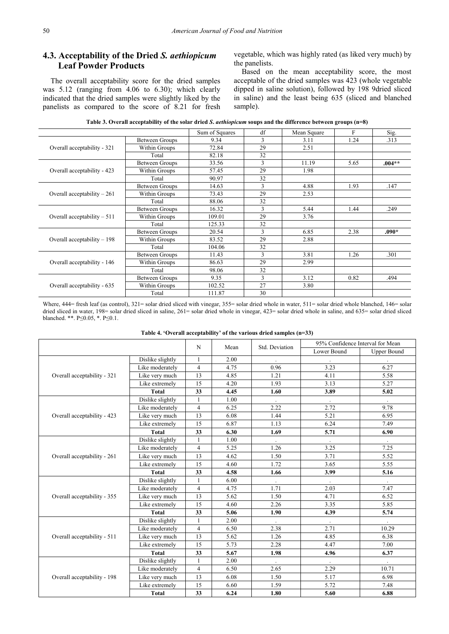## **4.3. Acceptability of the Dried** *S. aethiopicum* **Leaf Powder Products**

The overall acceptability score for the dried samples was 5.12 (ranging from 4.06 to 6.30); which clearly indicated that the dried samples were slightly liked by the panelists as compared to the score of 8.21 for fresh vegetable, which was highly rated (as liked very much) by the panelists.

Based on the mean acceptability score, the most acceptable of the dried samples was 423 (whole vegetable dipped in saline solution), followed by 198 9dried sliced in saline) and the least being 635 (sliced and blanched sample).

<span id="page-4-0"></span>

|                              |                                                                                                                                                                                                                                              | Sum of Squares | df | Mean Square | F    | Sig.     |
|------------------------------|----------------------------------------------------------------------------------------------------------------------------------------------------------------------------------------------------------------------------------------------|----------------|----|-------------|------|----------|
|                              | Between Groups                                                                                                                                                                                                                               | 9.34           | 3  | 3.11        | 1.24 | .313     |
| Overall acceptability - 321  | Within Groups                                                                                                                                                                                                                                | 72.84          | 29 | 2.51        |      |          |
|                              | Total                                                                                                                                                                                                                                        | 82.18          | 32 |             |      |          |
|                              | <b>Between Groups</b>                                                                                                                                                                                                                        | 33.56          | 3  | 11.19       | 5.65 | $.004**$ |
| Overall acceptability - 423  | Within Groups                                                                                                                                                                                                                                | 57.45          | 29 | 1.98        |      |          |
|                              | Total                                                                                                                                                                                                                                        | 90.97          | 32 |             |      |          |
|                              | Between Groups                                                                                                                                                                                                                               | 14.63          | 3  | 4.88        | 1.93 | .147     |
| Overall acceptability $-261$ | Within Groups                                                                                                                                                                                                                                | 73.43          | 29 | 2.53        |      |          |
|                              | 32<br>88.06<br>Total<br>3<br>Between Groups<br>16.32                                                                                                                                                                                         |                |    |             |      |          |
|                              |                                                                                                                                                                                                                                              |                |    | 5.44        | 1.44 | .249     |
| Overall acceptability $-511$ | Within Groups                                                                                                                                                                                                                                | 109.01         | 29 | 3.76        |      |          |
|                              | 32<br>Total<br>125.33<br>3<br>20.54<br><b>Between Groups</b><br>29<br>83.52<br>Within Groups<br>32<br>Total<br>104.06<br>3<br>Between Groups<br>11.43<br>29<br>Within Groups<br>86.63<br>32<br>Total<br>98.06<br>3<br>Between Groups<br>9.35 |                |    |             |      |          |
|                              |                                                                                                                                                                                                                                              |                |    | 6.85        | 2.38 | $.090*$  |
| Overall acceptability $-198$ |                                                                                                                                                                                                                                              |                |    | 2.88        |      |          |
|                              |                                                                                                                                                                                                                                              |                |    |             |      |          |
|                              |                                                                                                                                                                                                                                              |                |    | 3.81        | 1.26 | .301     |
| Overall acceptability - 146  |                                                                                                                                                                                                                                              |                |    | 2.99        |      |          |
|                              |                                                                                                                                                                                                                                              |                |    |             |      |          |
|                              |                                                                                                                                                                                                                                              |                |    | 3.12        | 0.82 | .494     |
| Overall acceptability - 635  | Within Groups                                                                                                                                                                                                                                | 102.52         | 27 | 3.80        |      |          |
|                              | Total                                                                                                                                                                                                                                        | 111.87         | 30 |             |      |          |

Where, 444= fresh leaf (as control), 321= solar dried sliced with vinegar, 355= solar dried whole in water, 511= solar dried whole blanched, 146= solar dried sliced in water, 198= solar dried sliced in saline, 261= solar dried whole in vinegar, 423= solar dried whole in saline, and 635= solar dried sliced blanched. \*\*. P≤0.05, \*. P≤0.1.

| Table 4. 'Overall acceptability' of the various dried samples $(n=33)$ |  |  |
|------------------------------------------------------------------------|--|--|
|------------------------------------------------------------------------|--|--|

<span id="page-4-1"></span>

|                             |                  | N                                                                                                                                                                                                                                                                                                                                                                                                                                                                                                                                  |      | Std. Deviation<br>Mean | 95% Confidence Interval for Mean |                    |  |
|-----------------------------|------------------|------------------------------------------------------------------------------------------------------------------------------------------------------------------------------------------------------------------------------------------------------------------------------------------------------------------------------------------------------------------------------------------------------------------------------------------------------------------------------------------------------------------------------------|------|------------------------|----------------------------------|--------------------|--|
|                             |                  |                                                                                                                                                                                                                                                                                                                                                                                                                                                                                                                                    |      |                        | Lower Bound                      | <b>Upper Bound</b> |  |
|                             | Dislike slightly | 1                                                                                                                                                                                                                                                                                                                                                                                                                                                                                                                                  | 2.00 |                        |                                  |                    |  |
|                             | Like moderately  | $\overline{4}$                                                                                                                                                                                                                                                                                                                                                                                                                                                                                                                     | 4.75 | 0.96                   | 3.23                             | 6.27               |  |
| Overall acceptability - 321 | Like very much   | 13                                                                                                                                                                                                                                                                                                                                                                                                                                                                                                                                 | 4.85 | 1.21                   | 4.11                             | 5.58               |  |
|                             | Like extremely   | 15                                                                                                                                                                                                                                                                                                                                                                                                                                                                                                                                 | 4.20 | 1.93                   | 3.13                             | 5.27               |  |
|                             | <b>Total</b>     | 33                                                                                                                                                                                                                                                                                                                                                                                                                                                                                                                                 | 4.45 | 1.60                   | 3.89                             | 5.02               |  |
|                             | Dislike slightly |                                                                                                                                                                                                                                                                                                                                                                                                                                                                                                                                    | 1.00 |                        |                                  |                    |  |
|                             | Like moderately  | $\overline{4}$                                                                                                                                                                                                                                                                                                                                                                                                                                                                                                                     | 6.25 | 2.22                   | 2.72                             | 9.78               |  |
| Overall acceptability - 423 | Like very much   | 13                                                                                                                                                                                                                                                                                                                                                                                                                                                                                                                                 | 6.08 | 1.44                   | 5.21                             | 6.95               |  |
|                             | Like extremely   | 15<br>6.87<br>1.13<br>6.24<br>33<br>6.30<br>1.69<br>5.71<br>1.00<br>$\cdot$<br>$\cdot$<br>$\overline{4}$<br>1.26<br>3.25<br>5.25<br>13<br>4.62<br>1.50<br>3.71<br>15<br>3.65<br>4.60<br>1.72<br>33<br>4.58<br>1.66<br>3.99<br>6.00<br>$\overline{4}$<br>1.71<br>2.03<br>4.75<br>13<br>1.50<br>4.71<br>5.62<br>15<br>3.35<br>4.60<br>2.26<br>33<br>5.06<br>4.39<br>1.90<br>$\mathbf{1}$<br>2.00<br>2.38<br>$\overline{4}$<br>6.50<br>2.71<br>13<br>5.62<br>1.26<br>4.85<br>15<br>5.73<br>2.28<br>4.47<br>33<br>5.67<br>1.98<br>4.96 |      | 7.49                   |                                  |                    |  |
|                             | <b>Total</b>     |                                                                                                                                                                                                                                                                                                                                                                                                                                                                                                                                    |      |                        | 2.29<br>5.17<br>5.72<br>5.60     | 6.90               |  |
|                             | Dislike slightly |                                                                                                                                                                                                                                                                                                                                                                                                                                                                                                                                    |      |                        |                                  |                    |  |
|                             | Like moderately  |                                                                                                                                                                                                                                                                                                                                                                                                                                                                                                                                    |      |                        |                                  | 7.25               |  |
| Overall acceptability - 261 | Like very much   |                                                                                                                                                                                                                                                                                                                                                                                                                                                                                                                                    |      |                        |                                  | 5.52               |  |
|                             | Like extremely   |                                                                                                                                                                                                                                                                                                                                                                                                                                                                                                                                    |      |                        |                                  | 5.55               |  |
|                             | <b>Total</b>     |                                                                                                                                                                                                                                                                                                                                                                                                                                                                                                                                    |      |                        |                                  | 5.16               |  |
|                             | Dislike slightly |                                                                                                                                                                                                                                                                                                                                                                                                                                                                                                                                    |      |                        |                                  |                    |  |
|                             | Like moderately  |                                                                                                                                                                                                                                                                                                                                                                                                                                                                                                                                    |      |                        |                                  | 7.47               |  |
| Overall acceptability - 355 | Like very much   |                                                                                                                                                                                                                                                                                                                                                                                                                                                                                                                                    |      |                        |                                  | 6.52               |  |
|                             | Like extremely   |                                                                                                                                                                                                                                                                                                                                                                                                                                                                                                                                    |      |                        |                                  | 5.85               |  |
|                             | <b>Total</b>     |                                                                                                                                                                                                                                                                                                                                                                                                                                                                                                                                    |      |                        |                                  | 5.74               |  |
|                             | Dislike slightly |                                                                                                                                                                                                                                                                                                                                                                                                                                                                                                                                    |      |                        |                                  |                    |  |
|                             | Like moderately  |                                                                                                                                                                                                                                                                                                                                                                                                                                                                                                                                    |      |                        |                                  | 10.29              |  |
| Overall acceptability - 511 | Like very much   |                                                                                                                                                                                                                                                                                                                                                                                                                                                                                                                                    |      |                        |                                  | 6.38               |  |
|                             | Like extremely   |                                                                                                                                                                                                                                                                                                                                                                                                                                                                                                                                    |      |                        |                                  | 7.00               |  |
|                             | <b>Total</b>     |                                                                                                                                                                                                                                                                                                                                                                                                                                                                                                                                    |      |                        |                                  | 6.37               |  |
|                             | Dislike slightly | 1                                                                                                                                                                                                                                                                                                                                                                                                                                                                                                                                  | 2.00 |                        |                                  |                    |  |
|                             | Like moderately  | $\overline{4}$                                                                                                                                                                                                                                                                                                                                                                                                                                                                                                                     | 6.50 | 2.65                   |                                  | 10.71              |  |
| Overall acceptability - 198 | Like very much   | 13                                                                                                                                                                                                                                                                                                                                                                                                                                                                                                                                 | 6.08 | 1.50                   |                                  | 6.98               |  |
|                             | Like extremely   | 15                                                                                                                                                                                                                                                                                                                                                                                                                                                                                                                                 | 6.60 | 1.59                   |                                  | 7.48               |  |
|                             | Total            | 33                                                                                                                                                                                                                                                                                                                                                                                                                                                                                                                                 | 6.24 | 1.80                   |                                  | 6.88               |  |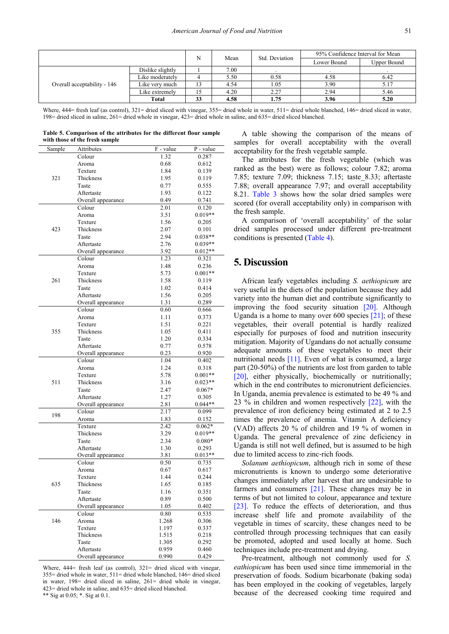|                             |                  | N  | Std. Deviation<br>Mean |      | 95% Confidence Interval for Mean |             |
|-----------------------------|------------------|----|------------------------|------|----------------------------------|-------------|
|                             |                  |    |                        |      | Lower Bound                      | Upper Bound |
|                             | Dislike slightly |    | 7.00                   |      |                                  |             |
|                             | Like moderatelv  |    | 5.50                   | 0.58 | 4.58                             | 6.42        |
| Overall acceptability - 146 | Like verv much   |    | 4.54                   | 1.05 | 3.90                             | 5.17        |
|                             | Like extremely   |    | 4.20                   | 2.27 | 2.94                             | 5.46        |
|                             | Total            | 33 | 4.58                   | 1.75 | 3.96                             | 5.20        |

Where, 444= fresh leaf (as control), 321= dried sliced with vinegar, 355= dried whole in water, 511= dried whole blanched, 146= dried sliced in water, 198= dried sliced in saline, 261= dried whole in vinegar, 423= dried whole in saline, and 635= dried sliced blanched.

| Table 5. Comparison of the attributes for the different flour sample |  |  |  |
|----------------------------------------------------------------------|--|--|--|
| with those of the fresh sample                                       |  |  |  |

| Sample | <b>Attributes</b>            | F - value | $\overline{P}$ - value |
|--------|------------------------------|-----------|------------------------|
|        | Colour                       | 1.32      | 0.287                  |
|        | Aroma                        | 0.68      | 0.612                  |
|        | Texture                      | 1.84      | 0.139                  |
| 321    | Thickness                    | 1.95      | 0.119                  |
|        | Taste                        | 0.77      | 0.555                  |
|        | Aftertaste                   | 1.93      | 0.122                  |
|        | Overall appearance           | 0.49      | 0.741                  |
|        | Colour                       | 2.01      | 0.120                  |
|        | Aroma                        | 3.51      | $0.019**$              |
|        | Texture                      | 1.56      | 0.205                  |
| 423    | Thickness                    | 2.07      | 0.101                  |
|        | Taste                        | 2.94      | $0.038**$              |
|        | Aftertaste                   | 2.76      | $0.039**$              |
|        | Overall appearance           | 3.92      | $0.012**$              |
|        | Colour                       | 1.23      | 0.321                  |
|        | Aroma                        | 1.48      | 0.236                  |
|        | Texture                      | 5.73      | $0.001**$              |
| 261    | Thickness                    | 1.58      | 0.119                  |
|        | Taste                        | 1.02      | 0.414                  |
|        | Aftertaste                   | 1.56      | 0.205                  |
|        |                              | 1.31      | 0.289                  |
|        | Overall appearance<br>Colour | 0.60      | 0.666                  |
|        |                              | 1.11      | 0.373                  |
|        | Aroma                        |           |                        |
| 355    | Texture                      | 1.51      | 0.221                  |
|        | Thickness                    | 1.05      | 0.411                  |
|        | Taste                        | 1.20      | 0.334                  |
|        | Aftertaste                   | 0.77      | 0.578                  |
|        | Overall appearance           | 0.23      | 0.920                  |
|        | Colour                       | 1.04      | 0.402                  |
|        | Aroma                        | 1.24      | 0.318                  |
|        | Texture                      | 5.78      | $0.001**$              |
| 511    | Thickness                    | 3.16      | $0.023**$              |
|        | Taste                        | 2.47      | $0.067*$               |
|        | Aftertaste                   | 1.27      | 0.305                  |
|        | Overall appearance           | 2.81      | $0.044**$              |
| 198    | Colour                       | 2.17      | 0.099                  |
|        | Aroma                        | 1.83      | 0.152                  |
|        | Texture                      | 2.42      | $0.062*$               |
|        | Thickness                    | 3.29      | $0.019**$              |
|        | Taste                        | 2.34      | $0.080*$               |
|        | Aftertaste                   | 1.30      | 0.293                  |
|        | Overall appearance           | 3.81      | $0.013**$              |
|        | Colour                       | 0.50      | 0.735                  |
|        | Aroma                        | 0.67      | 0.617                  |
|        | Texture                      | 1.44      | 0.244                  |
| 635    | Thickness                    | 1.65      | 0.185                  |
|        | Taste                        | 1.16      | 0.351                  |
|        | Aftertaste                   | 0.89      | 0.500                  |
|        | Overall appearance           | 1.05      | 0.402                  |
|        | Colour                       | 0.80      | 0.535                  |
| 146    | Aroma                        | 1.268     | 0.306                  |
|        | Texture                      | 1.197     | 0.337                  |
|        | Thickness                    | 1.515     | 0.218                  |
|        | Taste                        | 1.305     | 0.292                  |
|        | Aftertaste                   | 0.959     | 0.460                  |
|        | Overall appearance           | 0.990     | 0.429                  |

Where, 444= fresh leaf (as control), 321= dried sliced with vinegar, 355= dried whole in water, 511= dried whole blanched, 146= dried sliced in water, 198= dried sliced in saline, 261= dried whole in vinegar, 423= dried whole in saline, and 635= dried sliced blanched. \*\* Sig at 0.05; \*. Sig at 0.1.

A table showing the comparison of the means of samples for overall acceptability with the overall acceptability for the fresh vegetable sample.

The attributes for the fresh vegetable (which was ranked as the best) were as follows; colour 7.82; aroma 7.85; texture 7.09; thickness 7.15; taste\_8.33; aftertaste 7.88; overall appearance 7.97; and overall acceptability 8.21. [Table 3](#page-4-0) shows how the solar dried samples were scored (for overall acceptability only) in comparison with the fresh sample.

A comparison of 'overall acceptability' of the solar dried samples processed under different pre-treatment conditions is presented [\(Table 4\)](#page-4-1).

## **5. Discussion**

African leafy vegetables including *S. aethiopicum* are very useful in the diets of the population because they add variety into the human diet and contribute significantly to improving the food security situation [\[20\].](#page-8-3) Although Uganda is a home to many over  $600$  species  $[21]$ ; of these vegetables, their overall potential is hardly realized especially for purposes of food and nutrition insecurity mitigation. Majority of Ugandans do not actually consume adequate amounts of these vegetables to meet their nutritional needs [\[11\].](#page-7-10) Even of what is consumed, a large part (20-50%) of the nutrients are lost from garden to table [\[20\],](#page-8-3) either physically, biochemically or nutritionally; which in the end contributes to micronutrient deficiencies. In Uganda, anemia prevalence is estimated to be 49 % and 23 % in children and women respectively [\[22\],](#page-8-5) with the prevalence of iron deficiency being estimated at 2 to 2.5 times the prevalence of anemia. Vitamin A deficiency (VAD) affects 20 % of children and 19 % of women in Uganda. The general prevalence of zinc deficiency in Uganda is still not well defined, but is assumed to be high due to limited access to zinc‐rich foods.

*Solanum aethiopicum*, although rich in some of these micronutrients is known to undergo some deteriorative changes immediately after harvest that are undesirable to farmers and consumers [\[21\].](#page-8-4) These changes may be in terms of but not limited to colour, appearance and texture [\[23\].](#page-8-6) To reduce the effects of deterioration, and thus increase shelf life and promote availability of the vegetable in times of scarcity, these changes need to be controlled through processing techniques that can easily be promoted, adopted and used locally at home. Such techniques include pre-treatment and drying.

Pre-treatment, although not commonly used for *S. eathiopicum* has been used since time immemorial in the preservation of foods. Sodium bicarbonate (baking soda) has been employed in the cooking of vegetables, largely because of the decreased cooking time required and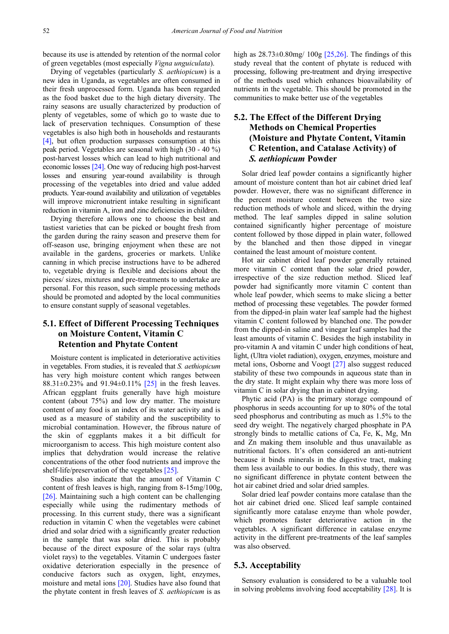because its use is attended by retention of the normal color of green vegetables (most especially *Vigna unguiculata*).

Drying of vegetables (particularly *S. aethiopicum*) is a new idea in Uganda, as vegetables are often consumed in their fresh unprocessed form. Uganda has been regarded as the food basket due to the high dietary diversity. The rainy seasons are usually characterized by production of plenty of vegetables, some of which go to waste due to lack of preservation techniques. Consumption of these vegetables is also high both in households and restaurants [\[4\],](#page-7-3) but often production surpasses consumption at this peak period. Vegetables are seasonal with high (30 - 40 %) post-harvest losses which can lead to high nutritional and economic losses [\[24\].](#page-8-7) One way of reducing high post-harvest losses and ensuring year-round availability is through processing of the vegetables into dried and value added products. Year-round availability and utilization of vegetables will improve micronutrient intake resulting in significant reduction in vitamin A, iron and zinc deficiencies in children.

Drying therefore allows one to choose the best and tastiest varieties that can be picked or bought fresh from the garden during the rainy season and preserve them for off-season use, bringing enjoyment when these are not available in the gardens, groceries or markets. Unlike canning in which precise instructions have to be adhered to, vegetable drying is flexible and decisions about the pieces/ sizes, mixtures and pre-treatments to undertake are personal. For this reason, such simple processing methods should be promoted and adopted by the local communities to ensure constant supply of seasonal vegetables.

## **5.1. Effect of Different Processing Techniques on Moisture Content, Vitamin C Retention and Phytate Content**

Moisture content is implicated in deteriorative activities in vegetables. From studies, it is revealed that *S. aethiopicum* has very high moisture content which ranges between 88.31±0.23% and 91.94±0.11% [\[25\]](#page-8-8) in the fresh leaves. African eggplant fruits generally have high moisture content (about 75%) and low dry matter. The moisture content of any food is an index of its water activity and is used as a measure of stability and the susceptibility to microbial contamination. However, the fibrous nature of the skin of eggplants makes it a bit difficult for microorganism to access. This high moisture content also implies that dehydration would increase the relative concentrations of the other food nutrients and improve the shelf-life/preservation of the vegetable[s \[25\].](#page-8-8) 

Studies also indicate that the amount of Vitamin C content of fresh leaves is high, ranging from 8-15mg/100g, [\[26\].](#page-8-9) Maintaining such a high content can be challenging especially while using the rudimentary methods of processing. In this current study, there was a significant reduction in vitamin C when the vegetables were cabinet dried and solar dried with a significantly greater reduction in the sample that was solar dried. This is probably because of the direct exposure of the solar rays (ultra violet rays) to the vegetables. Vitamin C undergoes faster oxidative deterioration especially in the presence of conducive factors such as oxygen, light, enzymes, moisture and metal ions [\[20\].](#page-8-3) Studies have also found that the phytate content in fresh leaves of *S. aethiopicum* is as

high as  $28.73\pm0.80$  mg/  $100g$   $[25.26]$ . The findings of this study reveal that the content of phytate is reduced with processing, following pre-treatment and drying irrespective of the methods used which enhances bioavailability of nutrients in the vegetable. This should be promoted in the communities to make better use of the vegetables

## **5.2. The Effect of the Different Drying Methods on Chemical Properties (Moisture and Phytate Content, Vitamin C Retention, and Catalase Activity) of**  *S. aethiopicum* **Powder**

Solar dried leaf powder contains a significantly higher amount of moisture content than hot air cabinet dried leaf powder. However, there was no significant difference in the percent moisture content between the two size reduction methods of whole and sliced, within the drying method. The leaf samples dipped in saline solution contained significantly higher percentage of moisture content followed by those dipped in plain water, followed by the blanched and then those dipped in vinegar contained the least amount of moisture content.

Hot air cabinet dried leaf powder generally retained more vitamin C content than the solar dried powder, irrespective of the size reduction method. Sliced leaf powder had significantly more vitamin C content than whole leaf powder, which seems to make slicing a better method of processing these vegetables. The powder formed from the dipped-in plain water leaf sample had the highest vitamin C content followed by blanched one. The powder from the dipped-in saline and vinegar leaf samples had the least amounts of vitamin C. Besides the high instability in pro-vitamin A and vitamin C under high conditions of heat, light, (Ultra violet radiation), oxygen, enzymes, moisture and metal ions, Osborne and Voogt [\[27\]](#page-8-10) also suggest reduced stability of these two compounds in aqueous state than in the dry state. It might explain why there was more loss of vitamin C in solar drying than in cabinet drying.

Phytic acid (PA) is the primary storage compound of phosphorus in seeds accounting for up to 80% of the total seed phosphorus and contributing as much as 1.5% to the seed dry weight. The negatively charged phosphate in PA strongly binds to metallic cations of Ca, Fe, K, Mg, Mn and Zn making them insoluble and thus unavailable as nutritional factors. It's often considered an anti-nutrient because it binds minerals in the digestive tract, making them less available to our bodies. In this study, there was no significant difference in phytate content between the hot air cabinet dried and solar dried samples.

Solar dried leaf powder contains more catalase than the hot air cabinet dried one. Sliced leaf sample contained significantly more catalase enzyme than whole powder, which promotes faster deteriorative action in the vegetables. A significant difference in catalase enzyme activity in the different pre-treatments of the leaf samples was also observed.

#### **5.3. Acceptability**

Sensory evaluation is considered to be a valuable tool in solving problems involving food acceptability [\[28\].](#page-8-11) It is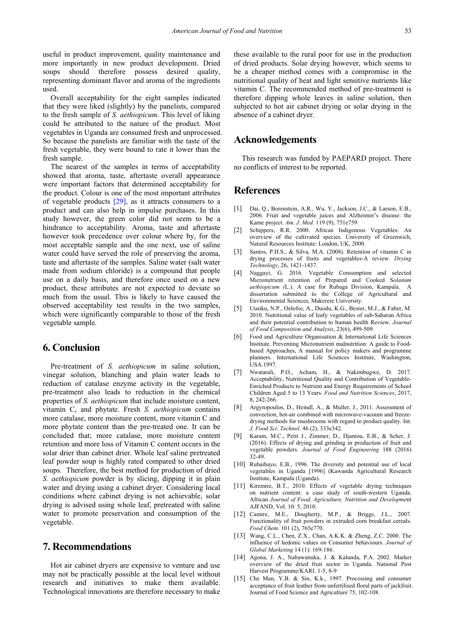useful in product improvement, quality maintenance and more importantly in new product development. Dried soups should therefore possess desired quality, representing dominant flavor and aroma of the ingredients used.

Overall acceptability for the eight samples indicated that they were liked (slightly) by the panelists, compared to the fresh sample of *S. aethiopicum*. This level of liking could be attributed to the nature of the product. Most vegetables in Uganda are consumed fresh and unprocessed. So because the panelists are familiar with the taste of the fresh vegetable, they were bound to rate it lower than the fresh sample.

The nearest of the samples in terms of acceptability showed that aroma, taste, aftertaste overall appearance were important factors that determined acceptability for the product. Colour is one of the most important attributes of vegetable products [\[29\],](#page-8-12) as it attracts consumers to a product and can also help in impulse purchases. In this study however, the green color did not seem to be a hindrance to acceptability. Aroma, taste and aftertaste however took precedence over colour where by, for the most acceptable sample and the one next, use of saline water could have served the role of preserving the aroma, taste and aftertaste of the samples. Saline water (salt water made from sodium chloride) is a compound that people use on a daily basis, and therefore once used on a new product, these attributes are not expected to deviate so much from the usual. This is likely to have caused the observed acceptability test results in the two samples, which were significantly comparable to those of the fresh vegetable sample.

## **6. Conclusion**

Pre-treatment of *S. aethiopicum* in saline solution, vinegar solution, blanching and plain water leads to reduction of catalase enzyme activity in the vegetable, pre-treatment also leads to reduction in the chemical properties of *S. aethiopicum* that include moisture content, vitamin C, and phytate. Fresh *S. aethiopicum* contains more catalase, more moisture content, more vitamin C and more phytate content than the pre-treated one. It can be concluded that; more catalase, more moisture content retention and more loss of Vitamin C content occurs in the solar drier than cabinet drier. Whole leaf saline pretreated leaf powder soup is highly rated compared to other dried soups. Therefore, the best method for production of dried *S. aethiopicum* powder is by slicing, dipping it in plain water and drying using a cabinet dryer. Considering local conditions where cabinet drying is not achievable, solar drying is advised using whole leaf, pretreated with saline water to promote preservation and consumption of the vegetable.

## **7. Recommendations**

Hot air cabinet dryers are expensive to venture and use may not be practically possible at the local level without research and initiatives to make them available. Technological innovations are therefore necessary to make these available to the rural poor for use in the production of dried products. Solar drying however, which seems to be a cheaper method comes with a compromise in the nutritional quality of heat and light sensitive nutrients like vitamin C. The recommended method of pre-treatment is therefore dipping whole leaves in saline solution, then subjected to hot air cabinet drying or solar drying in the absence of a cabinet dryer.

## **Acknowledgements**

This research was funded by PAEPARD project. There no conflicts of interest to be reported.

## **References**

- <span id="page-7-0"></span>[1] Dai, Q., Borenstein, A.R., Wu, Y., Jackson, J.C., & Larson, E.B., 2006. Fruit and vegetable juices and Alzheimer's disease: the Kame project. *Am. J. Med*. 119 (9), 751e759
- <span id="page-7-1"></span>[2] Schippers, R.R. 2000. African Indigenous Vegetables: An overview of the cultivated species. University of Greenwich, Natural Resources Institute: London, UK, 2000.
- <span id="page-7-2"></span>[3] Santos, P.H.S., & Silva, M.A. (2008). Retention of vitamin C in drying processes of fruits and vegetables-A review. *Drying Technology*, 26, 1421-1437.
- <span id="page-7-3"></span>[4] Naggayi, G. 2016. Vegetable Consumption and selected Micronutrient retention of Prepared and Cooked S*olanum aethiopicum (*L.). A case for Rubaga Division, Kampala. A dissertation submitted to the College of Agricultural and Environmental Sciences, Makerere University.
- <span id="page-7-4"></span>[5] Uusiku, N.P., Oelofse, A., Duodu, K.G., Bester, M.J., & Faber, M. 2010. Nutritional value of leafy vegetables of sub-Saharan Africa and their potential contribution to human health Review. *Journal of Food Composition and Analysis*, 23(6), 499-509.
- <span id="page-7-5"></span>[6] Food and Agriculture Organisation & International Life Sciences Institute. Preventing Micronutrient malnutrition: A guide to Foodbased Approaches, A manual for policy makers and programme planners. International Life Sciences Institute, Washington, USA.1997.
- <span id="page-7-6"></span>[7] Nwatarali, P.O., Acham, H., & Nakimbugwe, D. 2017. Acceptability, Nutritional Quality and Contribution of Vegetable-Enriched Products to Nutrient and Energy Requirements of School Children Aged 5 to 13 Years. *Food and Nutrition Sciences*, 2017, 8, 242-266.
- <span id="page-7-7"></span>[8] Argyropoulos, D., Heindl, A., & Muller, J., 2011. Assessment of convection, hot-air combined with microwave-vacuum and freezedrying methods for mushrooms with regard to product quality. Int. *J. Food Sci. Technol*. 46 (2), 333e342.
- <span id="page-7-8"></span>[9] Karam, M.C., Petit J., Zimmer, D., Djantou, E.B., & Scher, J. (2016). Effects of drying and grinding in production of fruit and vegetable powders*. Journal of Food Engineering* 188 (2016) 32-49.
- <span id="page-7-9"></span>[10] Rubaihayo, E.B., 1996. The diversity and potential use of local vegetables in Uganda [1996] (Kawanda Agricultural Research Institute, Kampala (Uganda).
- <span id="page-7-10"></span>[11] Kiremire, B.T., 2010. Effects of vegetable drying techniques on nutrient content: a case study of south-western Uganda. African *Journal of Food, Agriculture, Nutrition and Developme*nt AJFAND, Vol. 10: 5, 2010.
- <span id="page-7-11"></span>[12] Camire, M.E., Dougherty, M.P., & Briggs, J.L., 2007. Functionality of fruit powders in extruded corn breakfast cereals. *Food Chem*. 101 (2), 765e770.
- [13] Wang, C.L., Chen, Z.X., Chan, A.K.K. & Zheng, Z.C. 2000. The influence of hedonic values on Consumer behaviours. *Journal of Global Marketing* 14 (1): 169-186.
- <span id="page-7-12"></span>[14] Agona, J. A., Nabawanuka, J. & Kalunda, P.A. 2002. Market overview of the dried fruit sector in Uganda. National Post Harvest Programme/KARI. 1-5, 8-9
- <span id="page-7-13"></span>[15] Che Man, Y.B. & Sin, K.k., 1997. Processing and consumer acceptance of fruit leather from unfertilised floral parts of jackfruit. Journal of Food Science and Agriculture 75, 102-108.